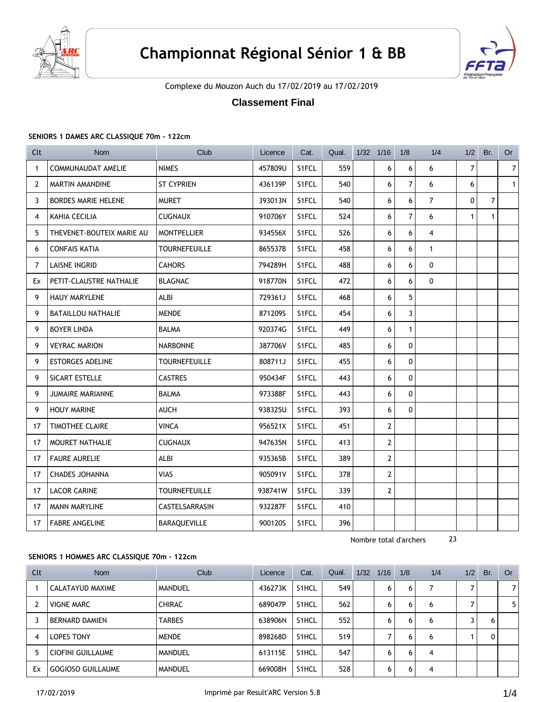



Complexe du Mouzon Auch du 17/02/2019 au 17/02/2019

# **Classement Final**

#### **SENIORS 1 DAMES ARC CLASSIQUE 70m - 122cm**

| Clt            | <b>Nom</b>                 | Club                 | Licence | Cat.  | Qual. | $1/32$ $1/16$  | 1/8            | 1/4            | 1/2          | Br.            | <b>Or</b>      |
|----------------|----------------------------|----------------------|---------|-------|-------|----------------|----------------|----------------|--------------|----------------|----------------|
| $\mathbf{1}$   | <b>COMMUNAUDAT AMELIE</b>  | <b>NIMES</b>         | 457809U | S1FCL | 559   | 6              | 6              | 6              | 7            |                | $\overline{7}$ |
| $\overline{2}$ | MARTIN AMANDINE            | <b>ST CYPRIEN</b>    | 436139P | S1FCL | 540   | 6              | $\overline{7}$ | 6              | 6            |                | $\mathbf{1}$   |
| 3              | <b>BORDES MARIE HELENE</b> | <b>MURET</b>         | 393013N | S1FCL | 540   | 6              | 6              | $\overline{7}$ | 0            | $\overline{7}$ |                |
| 4              | KAHIA CECILIA              | <b>CUGNAUX</b>       | 910706Y | S1FCL | 524   | 6              | $\overline{7}$ | 6              | $\mathbf{1}$ | $\mathbf{1}$   |                |
| 5              | THEVENET-BOUTEIX MARIE AU  | <b>MONTPELLIER</b>   | 934556X | S1FCL | 526   | 6              | 6              | 4              |              |                |                |
| 6              | <b>CONFAIS KATIA</b>       | <b>TOURNEFEUILLE</b> | 865537B | S1FCL | 458   | 6              | 6              | $\mathbf{1}$   |              |                |                |
| 7              | <b>LAISNE INGRID</b>       | <b>CAHORS</b>        | 794289H | S1FCL | 488   | 6              | 6              | $\mathbf 0$    |              |                |                |
| Ex             | PETIT-CLAUSTRE NATHALIE    | <b>BLAGNAC</b>       | 918770N | S1FCL | 472   | 6              | 6              | $\mathbf{0}$   |              |                |                |
| 9              | <b>HAUY MARYLENE</b>       | <b>ALBI</b>          | 729361J | S1FCL | 468   | 6              | 5              |                |              |                |                |
| 9              | <b>BATAILLOU NATHALIE</b>  | <b>MENDE</b>         | 871209S | S1FCL | 454   | 6              | $\overline{3}$ |                |              |                |                |
| 9              | <b>BOYER LINDA</b>         | <b>BALMA</b>         | 920374G | S1FCL | 449   | 6              | $\mathbf{1}$   |                |              |                |                |
| 9              | <b>VEYRAC MARION</b>       | <b>NARBONNE</b>      | 387706V | S1FCL | 485   | 6              | 0              |                |              |                |                |
| 9              | <b>ESTORGES ADELINE</b>    | <b>TOURNEFEUILLE</b> | 808711J | S1FCL | 455   | 6              | $\mathbf{0}$   |                |              |                |                |
| 9              | SICART ESTELLE             | <b>CASTRES</b>       | 950434F | S1FCL | 443   | 6              | 0              |                |              |                |                |
| 9              | <b>JUMAIRE MARIANNE</b>    | <b>BALMA</b>         | 973388F | S1FCL | 443   | 6              | $\mathbf{0}$   |                |              |                |                |
| 9              | <b>HOUY MARINE</b>         | <b>AUCH</b>          | 938325U | S1FCL | 393   | 6              | 0              |                |              |                |                |
| 17             | <b>TIMOTHEE CLAIRE</b>     | <b>VINCA</b>         | 956521X | S1FCL | 451   | $\overline{2}$ |                |                |              |                |                |
| 17             | MOURET NATHALIE            | <b>CUGNAUX</b>       | 947635N | S1FCL | 413   | $\mathbf{2}$   |                |                |              |                |                |
| 17             | <b>FAURE AURELIE</b>       | <b>ALBI</b>          | 935365B | S1FCL | 389   | $\mathbf{2}$   |                |                |              |                |                |
| 17             | <b>CHADES JOHANNA</b>      | <b>VIAS</b>          | 905091V | S1FCL | 378   | $\mathbf{2}$   |                |                |              |                |                |
| 17             | <b>LACOR CARINE</b>        | <b>TOURNEFEUILLE</b> | 938741W | S1FCL | 339   | $\overline{2}$ |                |                |              |                |                |
| 17             | <b>MANN MARYLINE</b>       | CASTELSARRASIN       | 932287F | S1FCL | 410   |                |                |                |              |                |                |
| 17             | <b>FABRE ANGELINE</b>      | BARAQUEVILLE         | 900120S | S1FCL | 396   |                |                |                |              |                |                |

Nombre total d'archers 23

#### **SENIORS 1 HOMMES ARC CLASSIQUE 70m - 122cm**

| Clt | <b>Nom</b>               | Club          | Licence | Cat.               | Qual. | 1/32 | 1/16 | 1/8 | 1/4 | 1/2 | Br. | Or             |
|-----|--------------------------|---------------|---------|--------------------|-------|------|------|-----|-----|-----|-----|----------------|
|     | CALATAYUD MAXIME         | MANDUEL       | 436273K | S1HCL              | 549   |      | 6    | 6   |     |     |     | 7              |
|     | <b>VIGNE MARC</b>        | <b>CHIRAC</b> | 689047P | S1HCL              | 562   |      | 6    | 6   | 6   |     |     | 5 <sup>1</sup> |
|     | <b>BERNARD DAMIEN</b>    | <b>TARBES</b> | 638906N | S1HCL              | 552   |      | 6    | 6   | 6   |     | 6   |                |
| 4   | LOPES TONY               | <b>MENDE</b>  | 898268D | S1HCL              | 519   |      |      | 6   | 6   |     |     |                |
| 5   | CIOFINI GUILLAUME        | MANDUEL       | 613115E | S <sub>1</sub> HCL | 547   |      | 6    | 6   | 4   |     |     |                |
| Ex  | <b>GOGIOSO GUILLAUME</b> | MANDUEL       | 669008H | S1HCL              | 528   |      | 6    | 6   | 4   |     |     |                |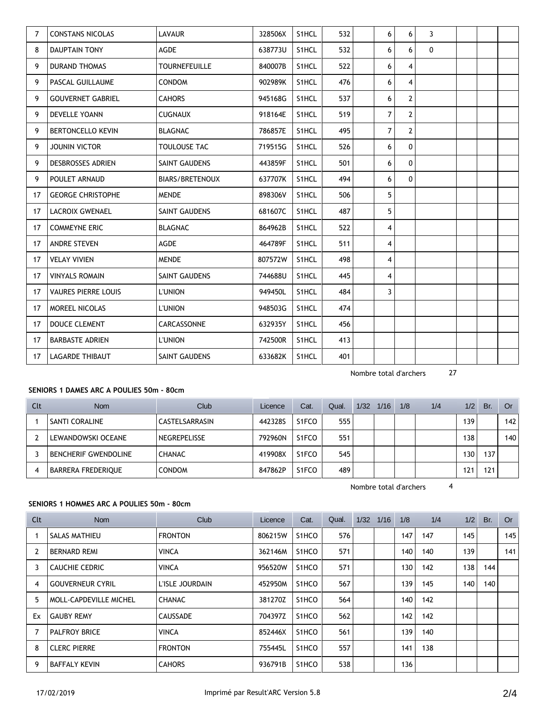| 7  | <b>CONSTANS NICOLAS</b>    | <b>LAVAUR</b>        | 328506X | S1HCL | 532 | 6              | 6              | 3           |  |  |
|----|----------------------------|----------------------|---------|-------|-----|----------------|----------------|-------------|--|--|
| 8  | <b>DAUPTAIN TONY</b>       | <b>AGDE</b>          | 638773U | S1HCL | 532 | 6              | 6              | $\mathbf 0$ |  |  |
| 9  | <b>DURAND THOMAS</b>       | <b>TOURNEFEUILLE</b> | 840007B | S1HCL | 522 | 6              | 4              |             |  |  |
| 9  | PASCAL GUILLAUME           | <b>CONDOM</b>        | 902989K | S1HCL | 476 | 6              | 4              |             |  |  |
| 9  | <b>GOUVERNET GABRIEL</b>   | <b>CAHORS</b>        | 945168G | S1HCL | 537 | 6              | $\overline{2}$ |             |  |  |
| 9  | <b>DEVELLE YOANN</b>       | <b>CUGNAUX</b>       | 918164E | S1HCL | 519 | $\overline{7}$ | $\overline{2}$ |             |  |  |
| 9  | <b>BERTONCELLO KEVIN</b>   | <b>BLAGNAC</b>       | 786857E | S1HCL | 495 | $\overline{7}$ | $\overline{2}$ |             |  |  |
| 9  | <b>JOUNIN VICTOR</b>       | TOULOUSE TAC         | 719515G | S1HCL | 526 | 6              | $\Omega$       |             |  |  |
| 9  | <b>DESBROSSES ADRIEN</b>   | <b>SAINT GAUDENS</b> | 443859F | S1HCL | 501 | 6              | $\Omega$       |             |  |  |
| 9  | POULET ARNAUD              | BIARS/BRETENOUX      | 637707K | S1HCL | 494 | 6              | $\Omega$       |             |  |  |
| 17 | <b>GEORGE CHRISTOPHE</b>   | <b>MENDE</b>         | 898306V | S1HCL | 506 | 5              |                |             |  |  |
| 17 | <b>LACROIX GWENAEL</b>     | <b>SAINT GAUDENS</b> | 681607C | S1HCL | 487 | 5              |                |             |  |  |
| 17 | <b>COMMEYNE ERIC</b>       | <b>BLAGNAC</b>       | 864962B | S1HCL | 522 | 4              |                |             |  |  |
| 17 | <b>ANDRE STEVEN</b>        | <b>AGDE</b>          | 464789F | S1HCL | 511 | 4              |                |             |  |  |
| 17 | <b>VELAY VIVIEN</b>        | <b>MENDE</b>         | 807572W | S1HCL | 498 | 4              |                |             |  |  |
| 17 | <b>VINYALS ROMAIN</b>      | SAINT GAUDENS        | 744688U | S1HCL | 445 | 4              |                |             |  |  |
| 17 | <b>VAURES PIERRE LOUIS</b> | <b>L'UNION</b>       | 949450L | S1HCL | 484 | 3              |                |             |  |  |
| 17 | <b>MOREEL NICOLAS</b>      | <b>L'UNION</b>       | 948503G | S1HCL | 474 |                |                |             |  |  |
| 17 | <b>DOUCE CLEMENT</b>       | CARCASSONNE          | 632935Y | S1HCL | 456 |                |                |             |  |  |
| 17 | <b>BARBASTE ADRIEN</b>     | <b>L'UNION</b>       | 742500R | S1HCL | 413 |                |                |             |  |  |
| 17 | <b>LAGARDE THIBAUT</b>     | SAINT GAUDENS        | 633682K | S1HCL | 401 |                |                |             |  |  |

Nombre total d'archers 27

# **SENIORS 1 DAMES ARC A POULIES 50m - 80cm**

| Clt | <b>Nom</b>                  | Club           | Licence | Cat.               | Qual. | 1/32 | 1/16 | 1/8 | 1/4 | 1/2              | Br. | <b>Or</b> |
|-----|-----------------------------|----------------|---------|--------------------|-------|------|------|-----|-----|------------------|-----|-----------|
|     | SANTI CORALINE              | CASTELSARRASIN | 442328S | S <sub>1</sub> FCO | 555   |      |      |     |     | 139 <sub>1</sub> |     | 142       |
|     | LEWANDOWSKI OCEANE          | NEGREPELISSE   | 792960N | S <sub>1</sub> FCO | 551   |      |      |     |     | 138              |     | 140       |
|     | <b>BENCHERIF GWENDOLINE</b> | <b>CHANAC</b>  | 419908X | S1FCO              | 545   |      |      |     |     | 30               | 137 |           |
| 4   | <b>BARRERA FREDERIQUE</b>   | <b>CONDOM</b>  | 847862P | S <sub>1</sub> FCO | 489   |      |      |     |     | 21،              | 121 |           |

Nombre total d'archers 4

# **SENIORS 1 HOMMES ARC A POULIES 50m - 80cm**

| Clt            | Nom                     | Club            | Licence | Cat.  | Qual. | 1/32 | 1/16 | 1/8 | 1/4 | 1/2 | Br.              | Or  |
|----------------|-------------------------|-----------------|---------|-------|-------|------|------|-----|-----|-----|------------------|-----|
|                | SALAS MATHIEU           | <b>FRONTON</b>  | 806215W | S1HCO | 576   |      |      | 147 | 147 | 145 |                  | 145 |
| $\overline{2}$ | <b>BERNARD REMI</b>     | <b>VINCA</b>    | 362146M | S1HCO | 571   |      |      | 140 | 140 | 139 |                  | 141 |
| 3              | CAUCHIE CEDRIC          | <b>VINCA</b>    | 956520W | S1HCO | 571   |      |      | 130 | 142 | 138 | 144 l            |     |
| 4              | <b>GOUVERNEUR CYRIL</b> | L'ISLE JOURDAIN | 452950M | S1HCO | 567   |      |      | 139 | 145 | 140 | 140 <sup>1</sup> |     |
| 5              | MOLL-CAPDEVILLE MICHEL  | <b>CHANAC</b>   | 381270Z | S1HCO | 564   |      |      | 140 | 142 |     |                  |     |
| Ex             | <b>GAUBY REMY</b>       | CAUSSADE        | 704397Z | S1HCO | 562   |      |      | 142 | 142 |     |                  |     |
|                | <b>PALFROY BRICE</b>    | <b>VINCA</b>    | 852446X | S1HCO | 561   |      |      | 139 | 140 |     |                  |     |
| 8              | <b>CLERC PIERRE</b>     | <b>FRONTON</b>  | 755445L | S1HCO | 557   |      |      | 141 | 138 |     |                  |     |
| 9              | <b>BAFFALY KEVIN</b>    | <b>CAHORS</b>   | 936791B | S1HCO | 538   |      |      | 136 |     |     |                  |     |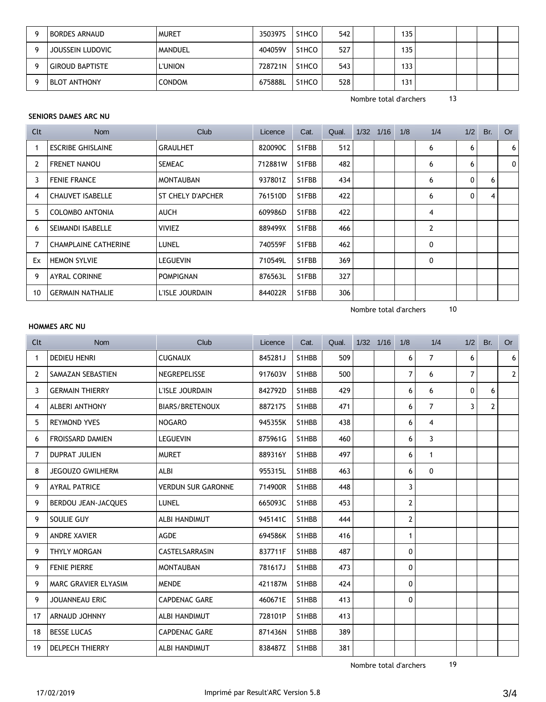|   | <b>BORDES ARNAUD</b>   | <b>MURET</b>  | 350397S | S1HCO | 542 | 135 |  |  |
|---|------------------------|---------------|---------|-------|-----|-----|--|--|
| O | JOUSSEIN LUDOVIC       | MANDUEL       | 404059V | S1HCO | 527 | 135 |  |  |
|   | <b>GIROUD BAPTISTE</b> | L'UNION       | 728721N | S1HCO | 543 | 133 |  |  |
|   | <b>BLOT ANTHONY</b>    | <b>CONDOM</b> | 675888L | S1HCO | 528 | 131 |  |  |

Nombre total d'archers 13

#### **SENIORS DAMES ARC NU**

| Clt | <b>Nom</b>                  | Club              | Licence | Cat.  | Qual. | 1/32 | 1/16 | 1/8 | 1/4 | 1/2          | Br. | <b>Or</b> |
|-----|-----------------------------|-------------------|---------|-------|-------|------|------|-----|-----|--------------|-----|-----------|
|     | <b>ESCRIBE GHISLAINE</b>    | <b>GRAULHET</b>   | 820090C | S1FBB | 512   |      |      |     | 6   | 6            |     | 6         |
| 2   | <b>FRENET NANOU</b>         | <b>SEMEAC</b>     | 712881W | S1FBB | 482   |      |      |     | 6   | 6            |     | 0         |
| 3   | <b>FENIE FRANCE</b>         | <b>MONTAUBAN</b>  | 937801Z | S1FBB | 434   |      |      |     | 6   | $\mathbf{0}$ | 6   |           |
| 4   | CHAUVET ISABELLE            | ST CHELY D'APCHER | 761510D | S1FBB | 422   |      |      |     | 6   | 0            | 4   |           |
| 5   | <b>COLOMBO ANTONIA</b>      | <b>AUCH</b>       | 609986D | S1FBB | 422   |      |      |     | 4   |              |     |           |
| 6   | SEIMANDI ISABELLE           | <b>VIVIEZ</b>     | 889499X | S1FBB | 466   |      |      |     | 2   |              |     |           |
|     | <b>CHAMPLAINE CATHERINE</b> | LUNEL             | 740559F | S1FBB | 462   |      |      |     | 0   |              |     |           |
| Ex  | <b>HEMON SYLVIE</b>         | LEGUEVIN          | 710549L | S1FBB | 369   |      |      |     | 0   |              |     |           |
| 9   | <b>AYRAL CORINNE</b>        | <b>POMPIGNAN</b>  | 876563L | S1FBB | 327   |      |      |     |     |              |     |           |
| 10  | <b>GERMAIN NATHALIE</b>     | L'ISLE JOURDAIN   | 844022R | S1FBB | 306   |      |      |     |     |              |     |           |

Nombre total d'archers 10

### **HOMMES ARC NU**

| Clt | <b>Nom</b>              | Club                      | Licence | Cat.  | Qual. | $1/32$ $1/16$ | 1/8            | 1/4            | 1/2      | Br.            | <b>Or</b>      |
|-----|-------------------------|---------------------------|---------|-------|-------|---------------|----------------|----------------|----------|----------------|----------------|
| 1   | <b>DEDIEU HENRI</b>     | <b>CUGNAUX</b>            | 845281J | S1HBB | 509   |               | 6              | $\overline{7}$ | 6        |                | 6              |
| 2   | SAMAZAN SEBASTIEN       | NEGREPELISSE              | 917603V | S1HBB | 500   |               | $\overline{7}$ | 6              | 7        |                | $\overline{2}$ |
| 3   | <b>GERMAIN THIERRY</b>  | L'ISLE JOURDAIN           | 842792D | S1HBB | 429   |               | 6              | 6              | $\Omega$ | 6              |                |
| 4   | <b>ALBERI ANTHONY</b>   | <b>BIARS/BRETENOUX</b>    | 887217S | S1HBB | 471   |               | 6              | $\overline{7}$ | 3        | $\overline{2}$ |                |
| 5   | <b>REYMOND YVES</b>     | <b>NOGARO</b>             | 945355K | S1HBB | 438   |               | 6              | 4              |          |                |                |
| 6   | <b>FROISSARD DAMIEN</b> | <b>LEGUEVIN</b>           | 875961G | S1HBB | 460   |               | 6              | 3              |          |                |                |
| 7   | <b>DUPRAT JULIEN</b>    | <b>MURET</b>              | 889316Y | S1HBB | 497   |               | 6              | $\mathbf{1}$   |          |                |                |
| 8   | <b>JEGOUZO GWILHERM</b> | <b>ALBI</b>               | 955315L | S1HBB | 463   |               | 6              | 0              |          |                |                |
| 9   | <b>AYRAL PATRICE</b>    | <b>VERDUN SUR GARONNE</b> | 714900R | S1HBB | 448   |               | 3              |                |          |                |                |
| 9   | BERDOU JEAN-JACQUES     | <b>LUNEL</b>              | 665093C | S1HBB | 453   |               | $\mathbf{2}$   |                |          |                |                |
| 9   | SOULIE GUY              | ALBI HANDIMUT             | 945141C | S1HBB | 444   |               | $\overline{2}$ |                |          |                |                |
| 9   | <b>ANDRE XAVIER</b>     | <b>AGDE</b>               | 694586K | S1HBB | 416   |               | $\mathbf{1}$   |                |          |                |                |
| 9   | THYLY MORGAN            | CASTELSARRASIN            | 837711F | S1HBB | 487   |               | 0              |                |          |                |                |
| 9   | <b>FENIE PIERRE</b>     | <b>MONTAUBAN</b>          | 781617J | S1HBB | 473   |               | 0              |                |          |                |                |
| 9   | MARC GRAVIER ELYASIM    | <b>MENDE</b>              | 421187M | S1HBB | 424   |               | 0              |                |          |                |                |
| 9   | JOUANNEAU ERIC          | <b>CAPDENAC GARE</b>      | 460671E | S1HBB | 413   |               | 0              |                |          |                |                |
| 17  | ARNAUD JOHNNY           | ALBI HANDIMUT             | 728101P | S1HBB | 413   |               |                |                |          |                |                |
| 18  | <b>BESSE LUCAS</b>      | <b>CAPDENAC GARE</b>      | 871436N | S1HBB | 389   |               |                |                |          |                |                |
| 19  | <b>DELPECH THIERRY</b>  | ALBI HANDIMUT             | 838487Z | S1HBB | 381   |               |                |                |          |                |                |

Nombre total d'archers 19